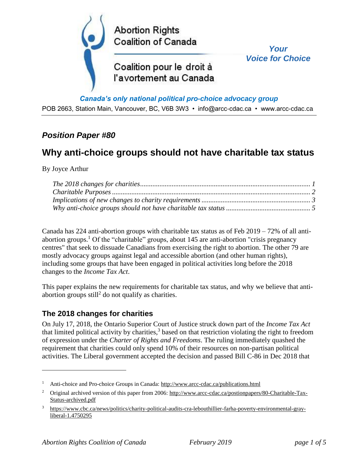

#### *Canada's only national political pro-choice advocacy group*

POB 2663, Station Main, Vancouver, BC, V6B 3W3 • info@arcc-cdac.ca • www.arcc-cdac.ca

## *Position Paper #80*

# **Why anti-choice groups should not have charitable tax status**

By Joyce Arthur

 $\overline{a}$ 

Canada has 224 anti-abortion groups with charitable tax status as of Feb 2019 – 72% of all antiabortion groups.<sup>1</sup> Of the "charitable" groups, about 145 are anti-abortion "crisis pregnancy" centres" that seek to dissuade Canadians from exercising the right to abortion. The other 79 are mostly advocacy groups against legal and accessible abortion (and other human rights), including some groups that have been engaged in political activities long before the 2018 changes to the *Income Tax Act*.

This paper explains the new requirements for charitable tax status, and why we believe that antiabortion groups  $still<sup>2</sup>$  do not qualify as charities.

### <span id="page-0-0"></span>**The 2018 changes for charities**

On July 17, 2018, the Ontario Superior Court of Justice struck down part of the *Income Tax Act* that limited political activity by charities,<sup>3</sup> based on that restriction violating the right to freedom of expression under the *Charter of Rights and Freedoms*. The ruling immediately quashed the requirement that charities could only spend 10% of their resources on non-partisan political activities. The Liberal government accepted the decision and passed Bill C-86 in Dec 2018 that

<sup>1</sup> Anti-choice and Pro-choice Groups in Canada:<http://www.arcc-cdac.ca/publications.html>

<sup>&</sup>lt;sup>2</sup> Original archived version of this paper from 2006: [http://www.arcc-cdac.ca/postionpapers/80-Charitable-Tax-](http://www.arcc-cdac.ca/postionpapers/80-Charitable-Tax-Status-archived.pdf)[Status-archived.pdf](http://www.arcc-cdac.ca/postionpapers/80-Charitable-Tax-Status-archived.pdf)

<sup>3</sup> [https://www.cbc.ca/news/politics/charity-political-audits-cra-lebouthillier-farha-poverty-environmental-gray](https://www.cbc.ca/news/politics/charity-political-audits-cra-lebouthillier-farha-poverty-environmental-gray-liberal-1.4750295)[liberal-1.4750295](https://www.cbc.ca/news/politics/charity-political-audits-cra-lebouthillier-farha-poverty-environmental-gray-liberal-1.4750295)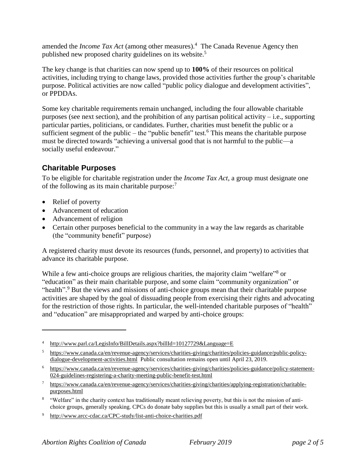amended the *Income Tax Act* (among other measures).<sup>4</sup> The Canada Revenue Agency then published new proposed charity guidelines on its website.<sup>5</sup>

The key change is that charities can now spend up to **100%** of their resources on political activities, including trying to change laws, provided those activities further the group's charitable purpose. Political activities are now called "public policy dialogue and development activities", or PPDDAs.

Some key charitable requirements remain unchanged, including the four allowable charitable purposes (see next section), and the prohibition of any partisan political activity – i.e., supporting particular parties, politicians, or candidates. Further, charities must benefit the public or a sufficient segment of the public – the "public benefit" test.<sup>6</sup> This means the charitable purpose must be directed towards "achieving a universal good that is not harmful to the public—a socially useful endeavour."

## <span id="page-1-0"></span>**Charitable Purposes**

To be eligible for charitable registration under the *Income Tax Act*, a group must designate one of the following as its main charitable purpose:<sup>7</sup>

• Relief of poverty

 $\overline{a}$ 

- Advancement of education
- Advancement of religion
- Certain other purposes beneficial to the community in a way the law regards as charitable (the "community benefit" purpose)

A registered charity must devote its resources (funds, personnel, and property) to activities that advance its charitable purpose.

While a few anti-choice groups are religious charities, the majority claim "welfare"<sup>8</sup> or "education" as their main charitable purpose, and some claim "community organization" or "health".<sup>9</sup> But the views and missions of anti-choice groups mean that their charitable purpose activities are shaped by the goal of dissuading people from exercising their rights and advocating for the restriction of those rights. In particular, the well-intended charitable purposes of "health" and "education" are misappropriated and warped by anti-choice groups:

<sup>&</sup>lt;sup>4</sup> <http://www.parl.ca/LegisInfo/BillDetails.aspx?billId=10127729&Language=E>

<sup>5</sup> [https://www.canada.ca/en/revenue-agency/services/charities-giving/charities/policies-guidance/public-policy](https://www.canada.ca/en/revenue-agency/services/charities-giving/charities/policies-guidance/public-policy-dialogue-development-activities.html)[dialogue-development-activities.html](https://www.canada.ca/en/revenue-agency/services/charities-giving/charities/policies-guidance/public-policy-dialogue-development-activities.html) Public consultation remains open until April 23, 2019.

<sup>6</sup> [https://www.canada.ca/en/revenue-agency/services/charities-giving/charities/policies-guidance/policy-statement-](https://www.canada.ca/en/revenue-agency/services/charities-giving/charities/policies-guidance/policy-statement-024-guidelines-registering-a-charity-meeting-public-benefit-test.html)[024-guidelines-registering-a-charity-meeting-public-benefit-test.html](https://www.canada.ca/en/revenue-agency/services/charities-giving/charities/policies-guidance/policy-statement-024-guidelines-registering-a-charity-meeting-public-benefit-test.html)

<sup>7</sup> [https://www.canada.ca/en/revenue-agency/services/charities-giving/charities/applying-registration/charitable](https://www.canada.ca/en/revenue-agency/services/charities-giving/charities/applying-registration/charitable-purposes.html)[purposes.html](https://www.canada.ca/en/revenue-agency/services/charities-giving/charities/applying-registration/charitable-purposes.html)

<sup>&</sup>lt;sup>8</sup> "Welfare" in the charity context has traditionally meant relieving poverty, but this is not the mission of antichoice groups, generally speaking. CPCs do donate baby supplies but this is usually a small part of their work.

<sup>9</sup> <http://www.arcc-cdac.ca/CPC-study/list-anti-choice-charities.pdf>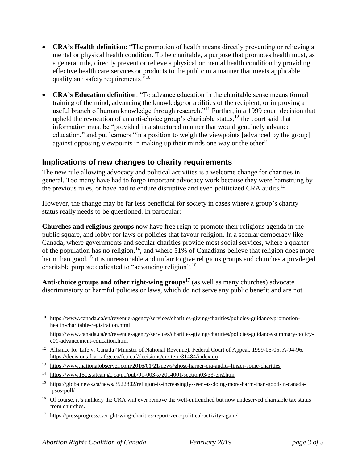- **CRA's Health definition**: "The promotion of health means directly preventing or relieving a mental or physical health condition. To be charitable, a purpose that promotes health must, as a general rule, directly prevent or relieve a physical or mental health condition by providing effective health care services or products to the public in a manner that meets applicable quality and safety requirements."<sup>10</sup>
- **CRA's Education definition**: "To advance education in the charitable sense means formal training of the mind, advancing the knowledge or abilities of the recipient, or improving a useful branch of human knowledge through research."<sup>11</sup> Further, in a 1999 court decision that upheld the revocation of an anti-choice group's charitable status, $12$  the court said that information must be "provided in a structured manner that would genuinely advance education," and put learners "in a position to weigh the viewpoints [advanced by the group] against opposing viewpoints in making up their minds one way or the other".

## <span id="page-2-0"></span>**Implications of new changes to charity requirements**

The new rule allowing advocacy and political activities is a welcome change for charities in general. Too many have had to forgo important advocacy work because they were hamstrung by the previous rules, or have had to endure disruptive and even politicized CRA audits.<sup>13</sup>

However, the change may be far less beneficial for society in cases where a group's charity status really needs to be questioned. In particular:

**Churches and religious groups** now have free reign to promote their religious agenda in the public square, and lobby for laws or policies that favour religion. In a secular democracy like Canada, where governments and secular charities provide most social services, where a quarter of the population has no religion,  $14$ , and where 51% of Canadians believe that religion does more harm than good,<sup>15</sup> it is unreasonable and unfair to give religious groups and churches a privileged charitable purpose dedicated to "advancing religion".<sup>16</sup>

**Anti-choice groups and other right-wing groups**<sup>17</sup> (as well as many churches) advocate discriminatory or harmful policies or laws, which do not serve any public benefit and are not

 $\overline{a}$ 

<sup>&</sup>lt;sup>10</sup> [https://www.canada.ca/en/revenue-agency/services/charities-giving/charities/policies-guidance/promotion](https://www.canada.ca/en/revenue-agency/services/charities-giving/charities/policies-guidance/promotion-health-charitable-registration.html)[health-charitable-registration.html](https://www.canada.ca/en/revenue-agency/services/charities-giving/charities/policies-guidance/promotion-health-charitable-registration.html)

<sup>&</sup>lt;sup>11</sup> [https://www.canada.ca/en/revenue-agency/services/charities-giving/charities/policies-guidance/summary-policy](https://www.canada.ca/en/revenue-agency/services/charities-giving/charities/policies-guidance/summary-policy-e01-advancement-education.html)[e01-advancement-education.html](https://www.canada.ca/en/revenue-agency/services/charities-giving/charities/policies-guidance/summary-policy-e01-advancement-education.html)

<sup>&</sup>lt;sup>12</sup> Alliance for Life v. Canada (Minister of National Revenue), Federal Court of Appeal, 1999-05-05, A-94-96. <https://decisions.fca-caf.gc.ca/fca-caf/decisions/en/item/31484/index.do>

<sup>13</sup> <https://www.nationalobserver.com/2016/01/21/news/ghost-harper-cra-audits-linger-some-charities>

<sup>&</sup>lt;sup>14</sup> <https://www150.statcan.gc.ca/n1/pub/91-003-x/2014001/section03/33-eng.htm>

<sup>15</sup> https://globalnews.ca/news/3522802/religion-is-increasingly-seen-as-doing-more-harm-than-good-in-canadaipsos-poll/

<sup>&</sup>lt;sup>16</sup> Of course, it's unlikely the CRA will ever remove the well-entrenched but now undeserved charitable tax status from churches.

<sup>17</sup> <https://pressprogress.ca/right-wing-charities-report-zero-political-activity-again/>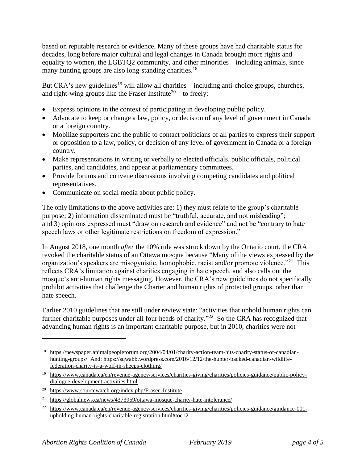based on reputable research or evidence. Many of these groups have had charitable status for decades, long before major cultural and legal changes in Canada brought more rights and equality to women, the LGBTQ2 community, and other minorities – including animals, since many hunting groups are also long-standing charities.<sup>18</sup>

But CRA's new guidelines<sup>19</sup> will allow all charities – including anti-choice groups, churches, and right-wing groups like the Fraser Institute<sup>20</sup> – to freely:

- Express opinions in the context of participating in developing public policy.
- Advocate to keep or change a law, policy, or decision of any level of government in Canada or a foreign country.
- Mobilize supporters and the public to contact politicians of all parties to express their support or opposition to a law, policy, or decision of any level of government in Canada or a foreign country.
- Make representations in writing or verbally to elected officials, public officials, political parties, and candidates, and appear at parliamentary committees.
- Provide forums and convene discussions involving competing candidates and political representatives.
- Communicate on social media about public policy.

The only limitations to the above activities are: 1) they must relate to the group's charitable purpose; 2) information disseminated must be "truthful, accurate, and not misleading"; and 3) opinions expressed must "draw on research and evidence" and not be "contrary to hate speech laws or other legitimate restrictions on freedom of expression."

In August 2018, one month *after* the 10% rule was struck down by the Ontario court, the CRA revoked the charitable status of an Ottawa mosque because "Many of the views expressed by the organization's speakers are misogynistic, homophobic, racist and/or promote violence."<sup>21</sup> This reflects CRA's limitation against charities engaging in hate speech, and also calls out the mosque's anti-human rights messaging. However, the CRA's new guidelines do not specifically prohibit activities that challenge the Charter and human rights of protected groups, other than hate speech.

Earlier 2010 guidelines that are still under review state: "activities that uphold human rights can further charitable purposes under all four heads of charity."<sup>22</sup> So the CRA has recognized that advancing human rights is an important charitable purpose, but in 2010, charities were not

 $\overline{a}$ 

<sup>18</sup> [https://newspaper.animalpeopleforum.org/2004/04/01/charity-action-team-hits-charity-status-of-canadian](https://newspaper.animalpeopleforum.org/2004/04/01/charity-action-team-hits-charity-status-of-canadian-hunting-groups/)[hunting-groups/](https://newspaper.animalpeopleforum.org/2004/04/01/charity-action-team-hits-charity-status-of-canadian-hunting-groups/) And: [https://sqwabb.wordpress.com/2016/12/12/the-hunter-backed-canadian-wildlife](https://sqwabb.wordpress.com/2016/12/12/the-hunter-backed-canadian-wildlife-federation-charity-is-a-wolf-in-sheeps-clothing/)[federation-charity-is-a-wolf-in-sheeps-clothing/](https://sqwabb.wordpress.com/2016/12/12/the-hunter-backed-canadian-wildlife-federation-charity-is-a-wolf-in-sheeps-clothing/)

<sup>19</sup> [https://www.canada.ca/en/revenue-agency/services/charities-giving/charities/policies-guidance/public-policy](https://www.canada.ca/en/revenue-agency/services/charities-giving/charities/policies-guidance/public-policy-dialogue-development-activities.html)[dialogue-development-activities.html](https://www.canada.ca/en/revenue-agency/services/charities-giving/charities/policies-guidance/public-policy-dialogue-development-activities.html)

<sup>&</sup>lt;sup>20</sup> https://www.sourcewatch.org/index.php/Fraser Institute

<sup>21</sup> <https://globalnews.ca/news/4373959/ottawa-mosque-charity-hate-intolerance/>

<sup>22</sup> [https://www.canada.ca/en/revenue-agency/services/charities-giving/charities/policies-guidance/guidance-001](https://www.canada.ca/en/revenue-agency/services/charities-giving/charities/policies-guidance/guidance-001-upholding-human-rights-charitable-registration.html#toc12) [upholding-human-rights-charitable-registration.html#toc12](https://www.canada.ca/en/revenue-agency/services/charities-giving/charities/policies-guidance/guidance-001-upholding-human-rights-charitable-registration.html#toc12)